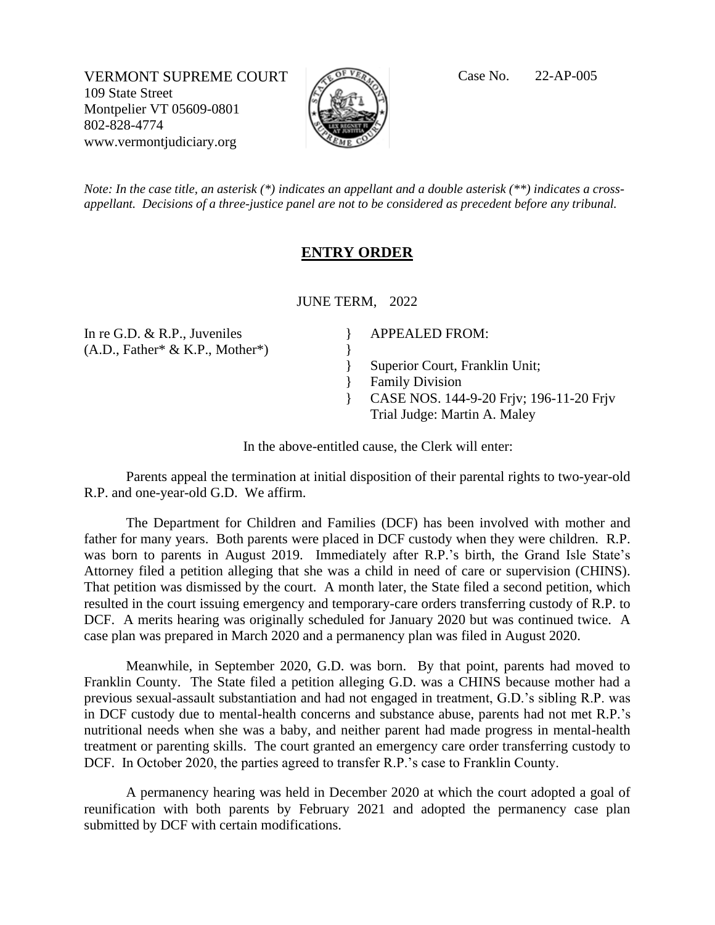VERMONT SUPREME COURT Case No. 22-AP-005 109 State Street Montpelier VT 05609-0801 802-828-4774 www.vermontjudiciary.org



*Note: In the case title, an asterisk (\*) indicates an appellant and a double asterisk (\*\*) indicates a crossappellant. Decisions of a three-justice panel are not to be considered as precedent before any tribunal.*

## **ENTRY ORDER**

JUNE TERM, 2022

} }

}

In re G.D. & R.P., Juveniles (A.D., Father\* & K.P., Mother\*) APPEALED FROM:

Superior Court, Franklin Unit;

- Family Division
- } } CASE NOS. 144-9-20 Frjv; 196-11-20 Frjv Trial Judge: Martin A. Maley

In the above-entitled cause, the Clerk will enter:

Parents appeal the termination at initial disposition of their parental rights to two-year-old R.P. and one-year-old G.D. We affirm.

The Department for Children and Families (DCF) has been involved with mother and father for many years. Both parents were placed in DCF custody when they were children. R.P. was born to parents in August 2019. Immediately after R.P.'s birth, the Grand Isle State's Attorney filed a petition alleging that she was a child in need of care or supervision (CHINS). That petition was dismissed by the court. A month later, the State filed a second petition, which resulted in the court issuing emergency and temporary-care orders transferring custody of R.P. to DCF. A merits hearing was originally scheduled for January 2020 but was continued twice. A case plan was prepared in March 2020 and a permanency plan was filed in August 2020.

Meanwhile, in September 2020, G.D. was born. By that point, parents had moved to Franklin County. The State filed a petition alleging G.D. was a CHINS because mother had a previous sexual-assault substantiation and had not engaged in treatment, G.D.'s sibling R.P. was in DCF custody due to mental-health concerns and substance abuse, parents had not met R.P.'s nutritional needs when she was a baby, and neither parent had made progress in mental-health treatment or parenting skills. The court granted an emergency care order transferring custody to DCF. In October 2020, the parties agreed to transfer R.P.'s case to Franklin County.

A permanency hearing was held in December 2020 at which the court adopted a goal of reunification with both parents by February 2021 and adopted the permanency case plan submitted by DCF with certain modifications.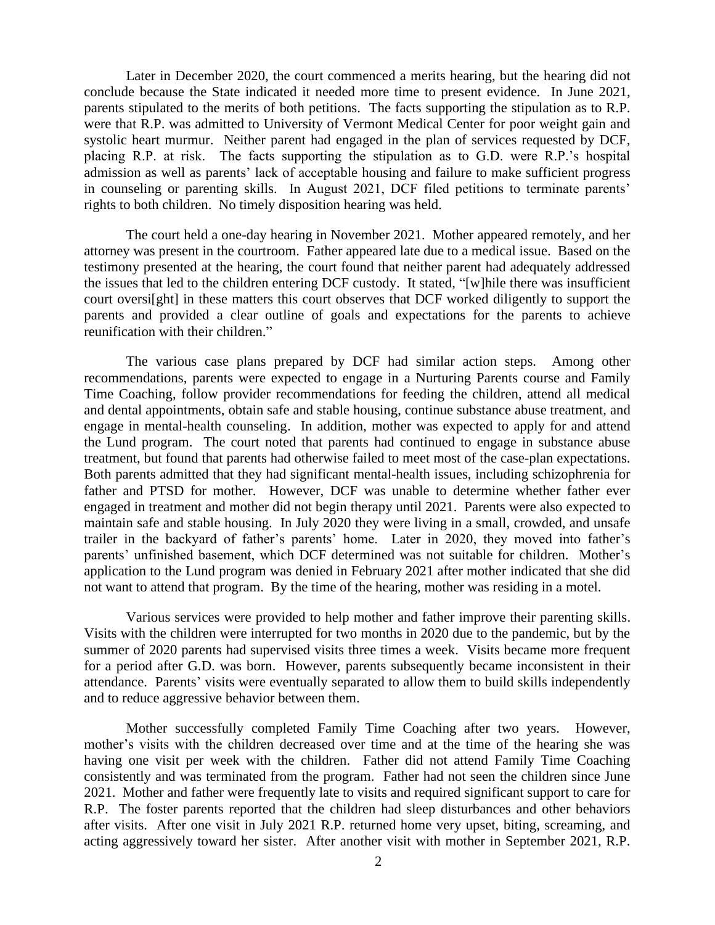Later in December 2020, the court commenced a merits hearing, but the hearing did not conclude because the State indicated it needed more time to present evidence. In June 2021, parents stipulated to the merits of both petitions. The facts supporting the stipulation as to R.P. were that R.P. was admitted to University of Vermont Medical Center for poor weight gain and systolic heart murmur. Neither parent had engaged in the plan of services requested by DCF, placing R.P. at risk. The facts supporting the stipulation as to G.D. were R.P.'s hospital admission as well as parents' lack of acceptable housing and failure to make sufficient progress in counseling or parenting skills. In August 2021, DCF filed petitions to terminate parents' rights to both children. No timely disposition hearing was held.

The court held a one-day hearing in November 2021. Mother appeared remotely, and her attorney was present in the courtroom. Father appeared late due to a medical issue. Based on the testimony presented at the hearing, the court found that neither parent had adequately addressed the issues that led to the children entering DCF custody. It stated, "[w]hile there was insufficient court oversi[ght] in these matters this court observes that DCF worked diligently to support the parents and provided a clear outline of goals and expectations for the parents to achieve reunification with their children."

The various case plans prepared by DCF had similar action steps. Among other recommendations, parents were expected to engage in a Nurturing Parents course and Family Time Coaching, follow provider recommendations for feeding the children, attend all medical and dental appointments, obtain safe and stable housing, continue substance abuse treatment, and engage in mental-health counseling. In addition, mother was expected to apply for and attend the Lund program. The court noted that parents had continued to engage in substance abuse treatment, but found that parents had otherwise failed to meet most of the case-plan expectations. Both parents admitted that they had significant mental-health issues, including schizophrenia for father and PTSD for mother. However, DCF was unable to determine whether father ever engaged in treatment and mother did not begin therapy until 2021. Parents were also expected to maintain safe and stable housing. In July 2020 they were living in a small, crowded, and unsafe trailer in the backyard of father's parents' home. Later in 2020, they moved into father's parents' unfinished basement, which DCF determined was not suitable for children. Mother's application to the Lund program was denied in February 2021 after mother indicated that she did not want to attend that program. By the time of the hearing, mother was residing in a motel.

Various services were provided to help mother and father improve their parenting skills. Visits with the children were interrupted for two months in 2020 due to the pandemic, but by the summer of 2020 parents had supervised visits three times a week. Visits became more frequent for a period after G.D. was born. However, parents subsequently became inconsistent in their attendance. Parents' visits were eventually separated to allow them to build skills independently and to reduce aggressive behavior between them.

Mother successfully completed Family Time Coaching after two years. However, mother's visits with the children decreased over time and at the time of the hearing she was having one visit per week with the children. Father did not attend Family Time Coaching consistently and was terminated from the program. Father had not seen the children since June 2021. Mother and father were frequently late to visits and required significant support to care for R.P. The foster parents reported that the children had sleep disturbances and other behaviors after visits. After one visit in July 2021 R.P. returned home very upset, biting, screaming, and acting aggressively toward her sister. After another visit with mother in September 2021, R.P.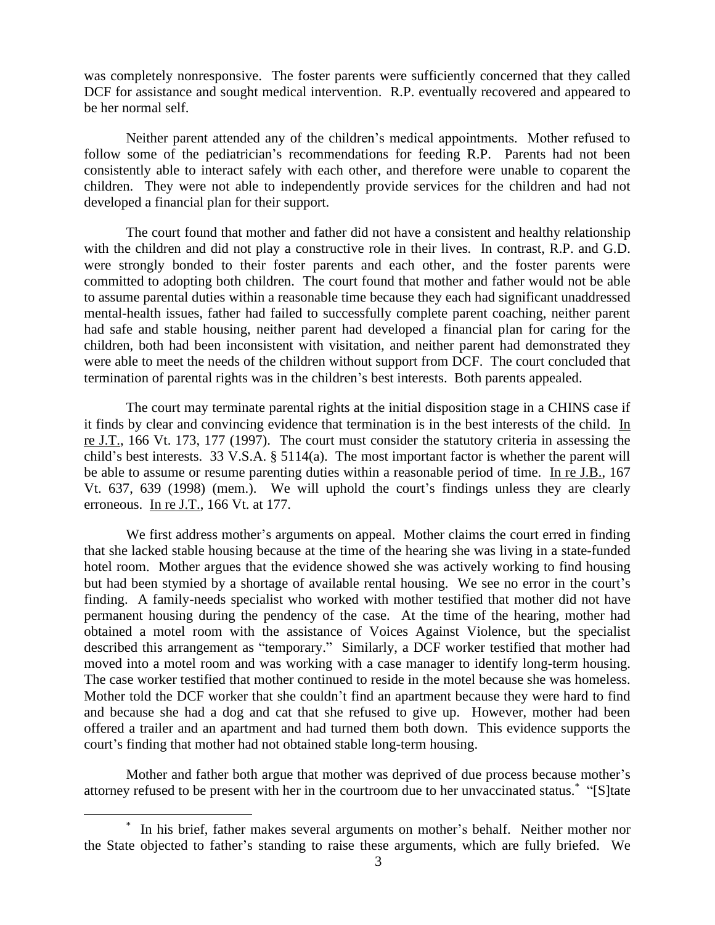was completely nonresponsive. The foster parents were sufficiently concerned that they called DCF for assistance and sought medical intervention. R.P. eventually recovered and appeared to be her normal self.

Neither parent attended any of the children's medical appointments. Mother refused to follow some of the pediatrician's recommendations for feeding R.P. Parents had not been consistently able to interact safely with each other, and therefore were unable to coparent the children. They were not able to independently provide services for the children and had not developed a financial plan for their support.

The court found that mother and father did not have a consistent and healthy relationship with the children and did not play a constructive role in their lives. In contrast, R.P. and G.D. were strongly bonded to their foster parents and each other, and the foster parents were committed to adopting both children. The court found that mother and father would not be able to assume parental duties within a reasonable time because they each had significant unaddressed mental-health issues, father had failed to successfully complete parent coaching, neither parent had safe and stable housing, neither parent had developed a financial plan for caring for the children, both had been inconsistent with visitation, and neither parent had demonstrated they were able to meet the needs of the children without support from DCF. The court concluded that termination of parental rights was in the children's best interests. Both parents appealed.

The court may terminate parental rights at the initial disposition stage in a CHINS case if it finds by clear and convincing evidence that termination is in the best interests of the child. In re J.T., 166 Vt. 173, 177 (1997). The court must consider the statutory criteria in assessing the child's best interests. 33 V.S.A. § 5114(a). The most important factor is whether the parent will be able to assume or resume parenting duties within a reasonable period of time. In re J.B., 167 Vt. 637, 639 (1998) (mem.). We will uphold the court's findings unless they are clearly erroneous. In re J.T., 166 Vt. at 177.

We first address mother's arguments on appeal. Mother claims the court erred in finding that she lacked stable housing because at the time of the hearing she was living in a state-funded hotel room. Mother argues that the evidence showed she was actively working to find housing but had been stymied by a shortage of available rental housing. We see no error in the court's finding. A family-needs specialist who worked with mother testified that mother did not have permanent housing during the pendency of the case. At the time of the hearing, mother had obtained a motel room with the assistance of Voices Against Violence, but the specialist described this arrangement as "temporary." Similarly, a DCF worker testified that mother had moved into a motel room and was working with a case manager to identify long-term housing. The case worker testified that mother continued to reside in the motel because she was homeless. Mother told the DCF worker that she couldn't find an apartment because they were hard to find and because she had a dog and cat that she refused to give up. However, mother had been offered a trailer and an apartment and had turned them both down. This evidence supports the court's finding that mother had not obtained stable long-term housing.

Mother and father both argue that mother was deprived of due process because mother's attorney refused to be present with her in the courtroom due to her unvaccinated status.\* "[S]tate

<sup>\*</sup> In his brief, father makes several arguments on mother's behalf. Neither mother nor the State objected to father's standing to raise these arguments, which are fully briefed. We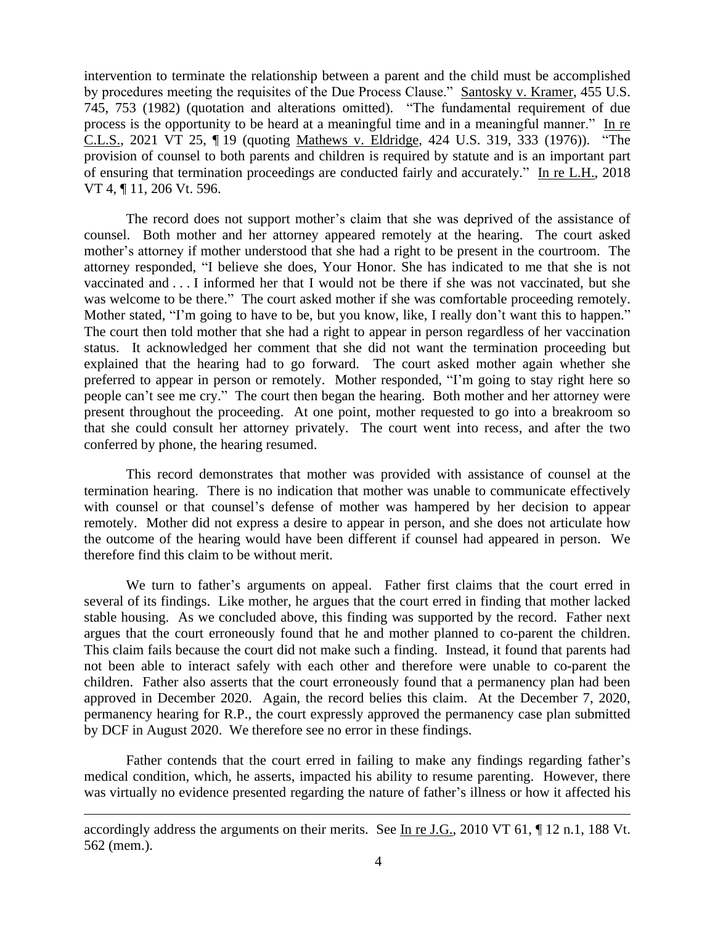intervention to terminate the relationship between a parent and the child must be accomplished by procedures meeting the requisites of the Due Process Clause." Santosky v. Kramer, 455 U.S. 745, 753 (1982) (quotation and alterations omitted). "The fundamental requirement of due process is the opportunity to be heard at a meaningful time and in a meaningful manner." In re C.L.S., 2021 VT 25, ¶ 19 (quoting Mathews v. Eldridge, 424 U.S. 319, 333 (1976)). "The provision of counsel to both parents and children is required by statute and is an important part of ensuring that termination proceedings are conducted fairly and accurately." In re L.H., 2018 VT 4, ¶ 11, 206 Vt. 596.

The record does not support mother's claim that she was deprived of the assistance of counsel. Both mother and her attorney appeared remotely at the hearing. The court asked mother's attorney if mother understood that she had a right to be present in the courtroom. The attorney responded, "I believe she does, Your Honor. She has indicated to me that she is not vaccinated and . . . I informed her that I would not be there if she was not vaccinated, but she was welcome to be there." The court asked mother if she was comfortable proceeding remotely. Mother stated, "I'm going to have to be, but you know, like, I really don't want this to happen." The court then told mother that she had a right to appear in person regardless of her vaccination status. It acknowledged her comment that she did not want the termination proceeding but explained that the hearing had to go forward. The court asked mother again whether she preferred to appear in person or remotely. Mother responded, "I'm going to stay right here so people can't see me cry." The court then began the hearing. Both mother and her attorney were present throughout the proceeding. At one point, mother requested to go into a breakroom so that she could consult her attorney privately. The court went into recess, and after the two conferred by phone, the hearing resumed.

This record demonstrates that mother was provided with assistance of counsel at the termination hearing. There is no indication that mother was unable to communicate effectively with counsel or that counsel's defense of mother was hampered by her decision to appear remotely. Mother did not express a desire to appear in person, and she does not articulate how the outcome of the hearing would have been different if counsel had appeared in person. We therefore find this claim to be without merit.

We turn to father's arguments on appeal. Father first claims that the court erred in several of its findings. Like mother, he argues that the court erred in finding that mother lacked stable housing. As we concluded above, this finding was supported by the record. Father next argues that the court erroneously found that he and mother planned to co-parent the children. This claim fails because the court did not make such a finding. Instead, it found that parents had not been able to interact safely with each other and therefore were unable to co-parent the children. Father also asserts that the court erroneously found that a permanency plan had been approved in December 2020. Again, the record belies this claim. At the December 7, 2020, permanency hearing for R.P., the court expressly approved the permanency case plan submitted by DCF in August 2020. We therefore see no error in these findings.

Father contends that the court erred in failing to make any findings regarding father's medical condition, which, he asserts, impacted his ability to resume parenting. However, there was virtually no evidence presented regarding the nature of father's illness or how it affected his

accordingly address the arguments on their merits. See In re J.G., 2010 VT 61, ¶ 12 n.1, 188 Vt. 562 (mem.).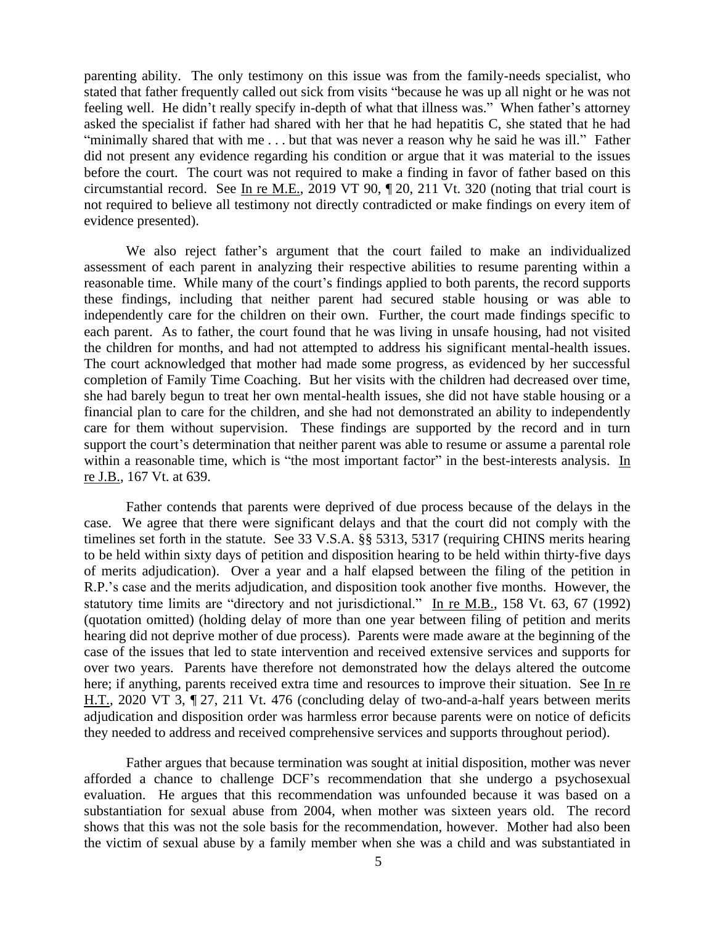parenting ability. The only testimony on this issue was from the family-needs specialist, who stated that father frequently called out sick from visits "because he was up all night or he was not feeling well. He didn't really specify in-depth of what that illness was." When father's attorney asked the specialist if father had shared with her that he had hepatitis C, she stated that he had "minimally shared that with me . . . but that was never a reason why he said he was ill." Father did not present any evidence regarding his condition or argue that it was material to the issues before the court. The court was not required to make a finding in favor of father based on this circumstantial record. See In re M.E., 2019 VT 90, ¶ 20, 211 Vt. 320 (noting that trial court is not required to believe all testimony not directly contradicted or make findings on every item of evidence presented).

We also reject father's argument that the court failed to make an individualized assessment of each parent in analyzing their respective abilities to resume parenting within a reasonable time. While many of the court's findings applied to both parents, the record supports these findings, including that neither parent had secured stable housing or was able to independently care for the children on their own. Further, the court made findings specific to each parent. As to father, the court found that he was living in unsafe housing, had not visited the children for months, and had not attempted to address his significant mental-health issues. The court acknowledged that mother had made some progress, as evidenced by her successful completion of Family Time Coaching. But her visits with the children had decreased over time, she had barely begun to treat her own mental-health issues, she did not have stable housing or a financial plan to care for the children, and she had not demonstrated an ability to independently care for them without supervision. These findings are supported by the record and in turn support the court's determination that neither parent was able to resume or assume a parental role within a reasonable time, which is "the most important factor" in the best-interests analysis. In re J.B., 167 Vt. at 639.

Father contends that parents were deprived of due process because of the delays in the case. We agree that there were significant delays and that the court did not comply with the timelines set forth in the statute. See 33 V.S.A. §§ 5313, 5317 (requiring CHINS merits hearing to be held within sixty days of petition and disposition hearing to be held within thirty-five days of merits adjudication). Over a year and a half elapsed between the filing of the petition in R.P.'s case and the merits adjudication, and disposition took another five months. However, the statutory time limits are "directory and not jurisdictional." In re M.B., 158 Vt. 63, 67 (1992) (quotation omitted) (holding delay of more than one year between filing of petition and merits hearing did not deprive mother of due process). Parents were made aware at the beginning of the case of the issues that led to state intervention and received extensive services and supports for over two years. Parents have therefore not demonstrated how the delays altered the outcome here; if anything, parents received extra time and resources to improve their situation. See In re H.T., 2020 VT 3, ¶ 27, 211 Vt. 476 (concluding delay of two-and-a-half years between merits adjudication and disposition order was harmless error because parents were on notice of deficits they needed to address and received comprehensive services and supports throughout period).

Father argues that because termination was sought at initial disposition, mother was never afforded a chance to challenge DCF's recommendation that she undergo a psychosexual evaluation. He argues that this recommendation was unfounded because it was based on a substantiation for sexual abuse from 2004, when mother was sixteen years old. The record shows that this was not the sole basis for the recommendation, however. Mother had also been the victim of sexual abuse by a family member when she was a child and was substantiated in